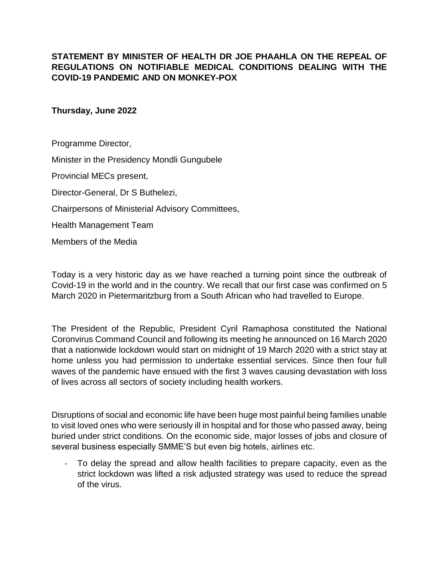## **STATEMENT BY MINISTER OF HEALTH DR JOE PHAAHLA ON THE REPEAL OF REGULATIONS ON NOTIFIABLE MEDICAL CONDITIONS DEALING WITH THE COVID-19 PANDEMIC AND ON MONKEY-POX**

## **Thursday, June 2022**

Programme Director, Minister in the Presidency Mondli Gungubele

Provincial MECs present,

Director-General, Dr S Buthelezi,

Chairpersons of Ministerial Advisory Committees,

Health Management Team

Members of the Media

Today is a very historic day as we have reached a turning point since the outbreak of Covid-19 in the world and in the country. We recall that our first case was confirmed on 5 March 2020 in Pietermaritzburg from a South African who had travelled to Europe.

The President of the Republic, President Cyril Ramaphosa constituted the National Coronvirus Command Council and following its meeting he announced on 16 March 2020 that a nationwide lockdown would start on midnight of 19 March 2020 with a strict stay at home unless you had permission to undertake essential services. Since then four full waves of the pandemic have ensued with the first 3 waves causing devastation with loss of lives across all sectors of society including health workers.

Disruptions of social and economic life have been huge most painful being families unable to visit loved ones who were seriously ill in hospital and for those who passed away, being buried under strict conditions. On the economic side, major losses of jobs and closure of several business especially SMME'S but even big hotels, airlines etc.

To delay the spread and allow health facilities to prepare capacity, even as the strict lockdown was lifted a risk adjusted strategy was used to reduce the spread of the virus.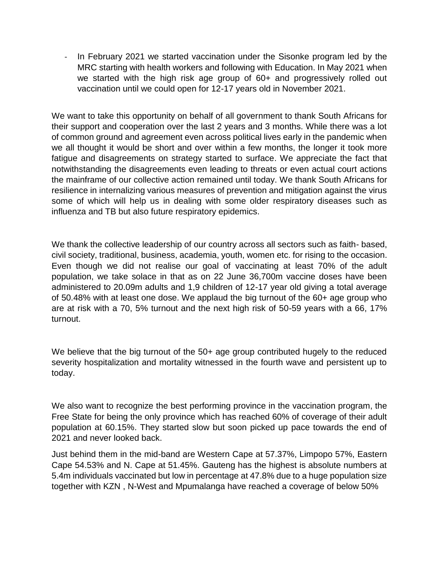- In February 2021 we started vaccination under the Sisonke program led by the MRC starting with health workers and following with Education. In May 2021 when we started with the high risk age group of 60+ and progressively rolled out vaccination until we could open for 12-17 years old in November 2021.

We want to take this opportunity on behalf of all government to thank South Africans for their support and cooperation over the last 2 years and 3 months. While there was a lot of common ground and agreement even across political lives early in the pandemic when we all thought it would be short and over within a few months, the longer it took more fatigue and disagreements on strategy started to surface. We appreciate the fact that notwithstanding the disagreements even leading to threats or even actual court actions the mainframe of our collective action remained until today. We thank South Africans for resilience in internalizing various measures of prevention and mitigation against the virus some of which will help us in dealing with some older respiratory diseases such as influenza and TB but also future respiratory epidemics.

We thank the collective leadership of our country across all sectors such as faith- based, civil society, traditional, business, academia, youth, women etc. for rising to the occasion. Even though we did not realise our goal of vaccinating at least 70% of the adult population, we take solace in that as on 22 June 36,700m vaccine doses have been administered to 20.09m adults and 1,9 children of 12-17 year old giving a total average of 50.48% with at least one dose. We applaud the big turnout of the 60+ age group who are at risk with a 70, 5% turnout and the next high risk of 50-59 years with a 66, 17% turnout.

We believe that the big turnout of the 50+ age group contributed hugely to the reduced severity hospitalization and mortality witnessed in the fourth wave and persistent up to today.

We also want to recognize the best performing province in the vaccination program, the Free State for being the only province which has reached 60% of coverage of their adult population at 60.15%. They started slow but soon picked up pace towards the end of 2021 and never looked back.

Just behind them in the mid-band are Western Cape at 57.37%, Limpopo 57%, Eastern Cape 54.53% and N. Cape at 51.45%. Gauteng has the highest is absolute numbers at 5.4m individuals vaccinated but low in percentage at 47.8% due to a huge population size together with KZN , N-West and Mpumalanga have reached a coverage of below 50%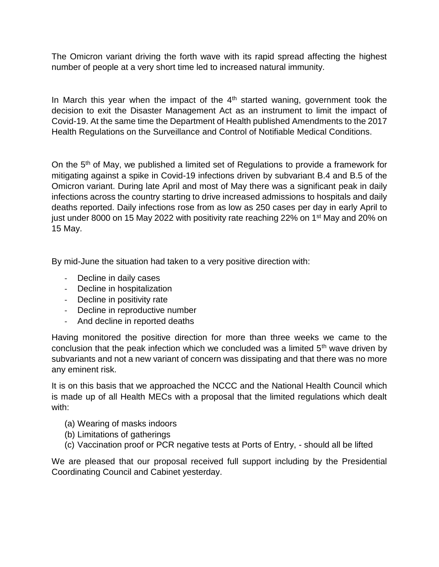The Omicron variant driving the forth wave with its rapid spread affecting the highest number of people at a very short time led to increased natural immunity.

In March this year when the impact of the  $4<sup>th</sup>$  started waning, government took the decision to exit the Disaster Management Act as an instrument to limit the impact of Covid-19. At the same time the Department of Health published Amendments to the 2017 Health Regulations on the Surveillance and Control of Notifiable Medical Conditions.

On the  $5<sup>th</sup>$  of May, we published a limited set of Regulations to provide a framework for mitigating against a spike in Covid-19 infections driven by subvariant B.4 and B.5 of the Omicron variant. During late April and most of May there was a significant peak in daily infections across the country starting to drive increased admissions to hospitals and daily deaths reported. Daily infections rose from as low as 250 cases per day in early April to just under 8000 on 15 May 2022 with positivity rate reaching 22% on 1<sup>st</sup> May and 20% on 15 May.

By mid-June the situation had taken to a very positive direction with:

- Decline in daily cases
- Decline in hospitalization
- Decline in positivity rate
- Decline in reproductive number
- And decline in reported deaths

Having monitored the positive direction for more than three weeks we came to the conclusion that the peak infection which we concluded was a limited  $5<sup>th</sup>$  wave driven by subvariants and not a new variant of concern was dissipating and that there was no more any eminent risk.

It is on this basis that we approached the NCCC and the National Health Council which is made up of all Health MECs with a proposal that the limited regulations which dealt with:

- (a) Wearing of masks indoors
- (b) Limitations of gatherings
- (c) Vaccination proof or PCR negative tests at Ports of Entry, should all be lifted

We are pleased that our proposal received full support including by the Presidential Coordinating Council and Cabinet yesterday.